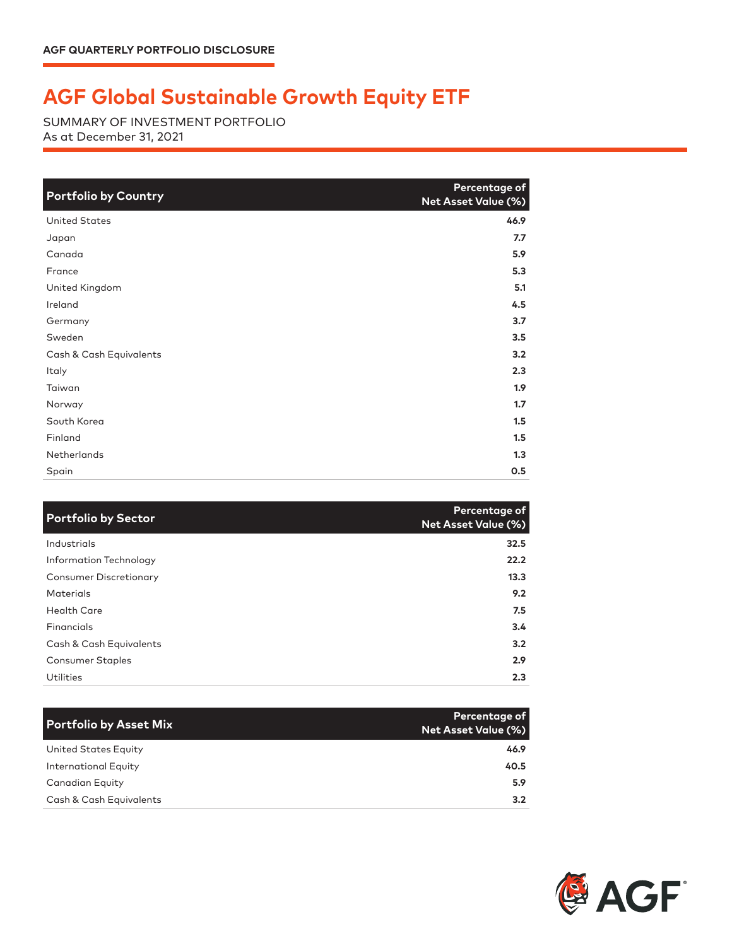## **AGF Global Sustainable Growth Equity ETF**

SUMMARY OF INVESTMENT PORTFOLIO As at December 31, 2021

| <b>Portfolio by Country</b> | Percentage of<br>Net Asset Value (%) |
|-----------------------------|--------------------------------------|
| <b>United States</b>        | 46.9                                 |
| Japan                       | 7.7                                  |
| Canada                      | 5.9                                  |
| France                      | 5.3                                  |
| United Kingdom              | 5.1                                  |
| Ireland                     | 4.5                                  |
| Germany                     | 3.7                                  |
| Sweden                      | 3.5                                  |
| Cash & Cash Equivalents     | 3.2                                  |
| Italy                       | 2.3                                  |
| Taiwan                      | 1.9                                  |
| Norway                      | 1.7                                  |
| South Korea                 | 1.5                                  |
| Finland                     | 1.5                                  |
| <b>Netherlands</b>          | 1.3                                  |
| Spain                       | 0.5                                  |

| <b>Portfolio by Sector</b>    | Percentage of<br>Net Asset Value (%) |
|-------------------------------|--------------------------------------|
| Industrials                   | 32.5                                 |
| Information Technology        | 22.2                                 |
| <b>Consumer Discretionary</b> | 13.3                                 |
| <b>Materials</b>              | 9.2                                  |
| <b>Health Care</b>            | 7.5                                  |
| Financials                    | 3.4                                  |
| Cash & Cash Equivalents       | 3.2                                  |
| <b>Consumer Staples</b>       | 2.9                                  |
| Utilities                     | 2.3                                  |

| <b>Portfolio by Asset Mix</b> | Percentage of<br><b>Net Asset Value (%)</b> |
|-------------------------------|---------------------------------------------|
| United States Equity          | 46.9                                        |
| International Equity          | 40.5                                        |
| Canadian Equity               | 5.9                                         |
| Cash & Cash Equivalents       | 3.2                                         |